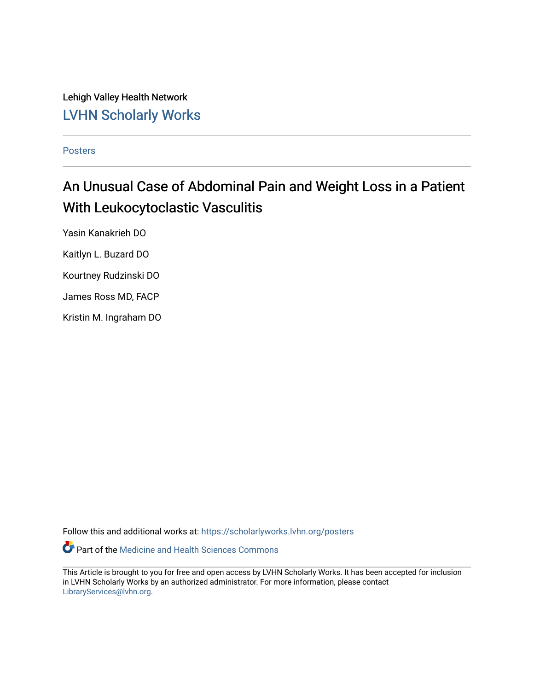Lehigh Valley Health Network [LVHN Scholarly Works](https://scholarlyworks.lvhn.org/)

[Posters](https://scholarlyworks.lvhn.org/posters) 

#### An Unusual Case of Abdominal Pain and Weight Loss in a Patient With Leukocytoclastic Vasculitis

Yasin Kanakrieh DO

Kaitlyn L. Buzard DO

Kourtney Rudzinski DO

James Ross MD, FACP

Kristin M. Ingraham DO

Follow this and additional works at: [https://scholarlyworks.lvhn.org/posters](https://scholarlyworks.lvhn.org/posters?utm_source=scholarlyworks.lvhn.org%2Fposters%2F13&utm_medium=PDF&utm_campaign=PDFCoverPages) 

Part of the [Medicine and Health Sciences Commons](http://network.bepress.com/hgg/discipline/648?utm_source=scholarlyworks.lvhn.org%2Fposters%2F13&utm_medium=PDF&utm_campaign=PDFCoverPages) 

This Article is brought to you for free and open access by LVHN Scholarly Works. It has been accepted for inclusion in LVHN Scholarly Works by an authorized administrator. For more information, please contact [LibraryServices@lvhn.org](mailto:LibraryServices@lvhn.org).